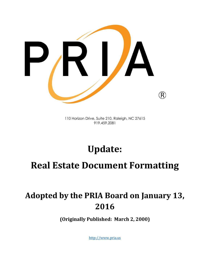

110 Horizon Drive, Suite 210, Raleigh, NC 27615 919.459.2081

# **Update: Real Estate Document Formatting**

# **Adopted by the PRIA Board on January 13, 2016**

**(Originally Published: March 2, 2000)**

[http://www.pria.us](http://www.pria.us/)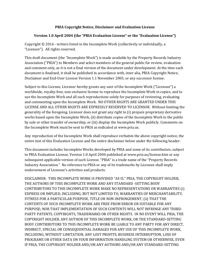#### **PRIA Copyright Notice, Disclaimer and Evaluation License**

#### **Version 1.0 April 2004 (the "PRIA Evaluation License" or the "Evaluation License")**

Copyright © 2016 - writers listed in the Incomplete Work (collectively or individually, a "Licensor"). All rights reserved.

This draft document (the "Incomplete Work") is made available by the Property Records Industry Association ("PRIA") to Members and select members of the general public for review, evaluation and comment only, as it is not a final version of the document under development. At the time such document is finalized, it shall be published in accordance with, inter alia, PRIA Copyright Notice, Disclaimer and End-User License Version 1.1 November 2003, or any successor license.

Subject to this License, Licensor hereby grants any user of the Incomplete Work ("Licensee") a worldwide, royalty-free, non-exclusive license to reproduce the Incomplete Work in copies, and to use the Incomplete Work and all such reproductions solely for purposes of reviewing, evaluating and commenting upon the Incomplete Work. NO OTHER RIGHTS ARE GRANTED UNDER THIS LICENSE AND ALL OTHER RIGHTS ARE EXPRESSLY RESERVED TO LICENSOR. Without limiting the generality of the foregoing, Licensor does not grant any right to (i) prepare proprietary derivative works based upon the Incomplete Work, (ii) distribute copies of the Incomplete Work to the public by sale or other transfer of ownership, or (iii) display the Incomplete Work publicly. Comments on the Incomplete Work must be sent to PRIA as indicated at www.pria.us.

Any reproduction of the Incomplete Work shall reproduce verbatim the above copyright notice, the entire text of this Evaluation License and the entire disclaimer below under the following header:

This document includes Incomplete Works developed by PRIA and some of its contributors, subject to PRIA Evaluation License, Version 1.0 April 2004 published at www.pria.us/license.htm or any subsequent applicable version of such License. "PRIA" is a trade name of the "Property Records Industry Association." No reference to PRIA or any of its trademarks by Licensee shall imply endorsement of Licensee's activities and products.

DISCLAIMER: THIS INCOMPLETE WORK IS PROVIDED "AS IS." PRIA, THE COPYRIGHT HOLDER, THE AUTHORS OF THIS INCOMPLETE WORK AND ANY STANDARD -SETTING BODY CONTRIBUTORS TO THIS INCOMPLETE WORK MAKE NO REPRESENTATIONS OR WARRANTIES (i) EXPRESS OR IMPLIED, INCLUDING, BUT NOT LIMITED TO, WARRANTIES OF MERCHANTABILITY, FITNESS FOR A PARTICULAR PURPOSE, TITLE OR NON-INFRINGEMENT; (ii) THAT THE CONTENTS OF SUCH INCOMPLETE WORK ARE FREE FROM ERROR OR SUITABLE FOR ANY PURPOSE; NOR THAT IMPLEMENTATION OF SUCH CONTENTS WILL NOT INFRINGE ANY THIRD-PARTY PATENTS, COPYRIGHTS, TRADEMARKS OR OTHER RIGHTS. IN NO EVENT WILL PRIA, THE COPYRIGHT HOLDER. ANY AUTHOR OF THIS INCOMPLETE WORK, OR THE STANDARD-SETTING BODY CONTRIBUTORS TO THIS INCOMPLETE WORK BE LIABLE TO ANY PARTY FOR ANY DIRECT, INDIRECT, SPECIAL OR CONSEQUENTIAL DAMAGES FOR ANY USE OF THIS INCOMPLETE WORK, INCLUDING, WITHOUT LIMITATION, ANY LOST PROFITS, BUSINESS INTERRUPTION, LOSS OF PROGRAMS OR OTHER DATA ON YOUR INFORMATION HANDLING SYSTEM OR OTHERWISE, EVEN IF PRIA, THE COPYRIGHT HOLDER AND/OR ANY AUTHORS AND/OR ANY STANDARD-SETTING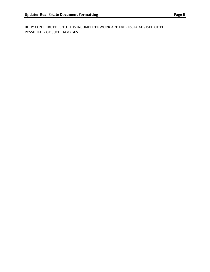BODY CONTRIBUTORS TO THIS INCOMPLETE WORK ARE EXPRESSLY ADVISED OF THE POSSIBILITY OF SUCH DAMAGES.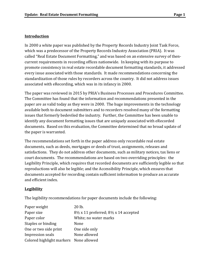## **Introduction**

In 2000 a white paper was published by the Property Records Industry Joint Task Force, which was a predecessor of the Property Records Industry Association (PRIA). It was called "Real Estate Document Formatting," and was based on an extensive survey of thencurrent requirements in recording offices nationwide. In keeping with its purpose to promote consistency in real estate recordable document formatting standards, it addressed every issue associated with those standards. It made recommendations concerning the standardization of those rules by recorders across the country. It did not address issues associated with eRecording, which was in its infancy in 2000.

The paper was reviewed in 2015 by PRIA's Business Processes and Procedures Committee. The Committee has found that the information and recommendations presented in the paper are as valid today as they were in 2000. The huge improvements in the technology available both to document submitters and to recorders resolved many of the formatting issues that formerly bedeviled the industry. Further, the Committee has been unable to identify any document formatting issues that are uniquely associated with eRecorded documents. Based on this evaluation, the Committee determined that no broad update of the paper is warranted.

The recommendations set forth in the paper address only recordable real estate documents, such as deeds, mortgages or deeds of trust, assignments, releases and satisfactions. They do not address other documents, such as military notices, tax liens or court documents. The recommendations are based on two overriding principles: the Legibility Principle, which requires that recorded documents are sufficiently legible so that reproductions will also be legible; and the Accessibility Principle, which ensures that documents accepted for recording contain sufficient information to produce an accurate and efficient index.

#### **Legibility**

The legibility recommendations for paper documents include the following:

| Paper weight                           | 20 lb.                                                      |
|----------------------------------------|-------------------------------------------------------------|
| Paper size                             | $8\frac{1}{2}$ x 11 preferred; $8\frac{1}{2}$ x 14 accepted |
| Paper color                            | White; no water marks                                       |
| Staples or binding                     | None                                                        |
| One or two side print                  | One side only                                               |
| Impression seals                       | None allowed                                                |
| Colored highlight markers None allowed |                                                             |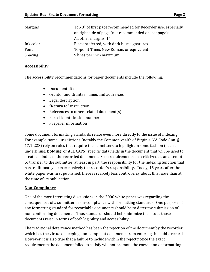| Margins        | Top 3" of first page recommended for Recorder use, especially |
|----------------|---------------------------------------------------------------|
|                | on right side of page (not recommended on last page);         |
|                | All other margins, 1"                                         |
| Ink color      | Black preferred, with dark blue signatures                    |
| Font           | 10-point Times New Roman, or equivalent                       |
| <b>Spacing</b> | 9 lines per inch maximum                                      |

## **Accessibility**

The accessibility recommendations for paper documents include the following:

- Document title
- Grantor and Grantee names and addresses
- Legal description
- "Return to" instruction
- References to other, related document(s)
- Parcel identification number
- Preparer information

Some document formatting standards relate even more directly to the issue of indexing. For example, some jurisdictions (notably the Commonwealth of Virginia, VA Code Ann. § 17.1-223) rely on rules that require the submitters to highlight in some fashion (such as underlining, **bolding**, or ALL CAPS) specific data fields in the document that will be used to create an index of the recorded document. Such requirements are criticized as an attempt to transfer to the submitter, at least in part, the responsibility for the indexing function that has traditionally been exclusively the recorder's responsibility. Today, 15 years after the white paper was first published, there is scarcely less controversy about this issue than at the time of its publication.

# **Non-Compliance**

One of the most interesting discussions in the 2000 white paper was regarding the consequences of a submitter's non-compliance with formatting standards. One purpose of any formatting standard for recordable documents should be to deter the submission of non-conforming documents. Thus standards should help minimize the issues those documents raise in terms of both legibility and accessibility.

The traditional deterrence method has been the rejection of the document by the recorder, which has the virtue of keeping non-compliant documents from entering the public record. However, it is also true that a failure to include within the reject notice the exact requirements the document failed to satisfy will not promote the correction of formatting